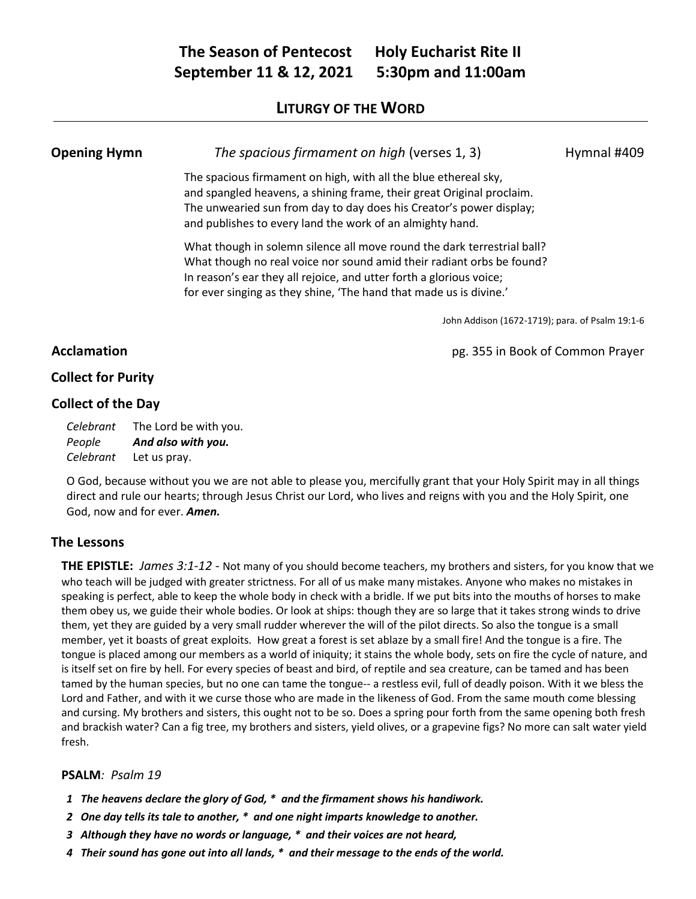# **LITURGY OF THE WORD**

#### **Opening Hymn** *The spacious firmament on high* (verses 1, 3) Hymnal #409

The spacious firmament on high, with all the blue ethereal sky, and spangled heavens, a shining frame, their great Original proclaim. The unwearied sun from day to day does his Creator's power display; and publishes to every land the work of an almighty hand.

What though in solemn silence all move round the dark terrestrial ball? What though no real voice nor sound amid their radiant orbs be found? In reason's ear they all rejoice, and utter forth a glorious voice; for ever singing as they shine, 'The hand that made us is divine.'

John Addison (1672-1719); para. of Psalm 19:1-6

**Acclamation Acclamation pg. 355 in Book of Common Prayer** 

# **Collect for Purity**

## **Collect of the Day**

*Celebrant* The Lord be with you. *People And also with you. Celebrant* Let us pray.

O God, because without you we are not able to please you, mercifully grant that your Holy Spirit may in all things direct and rule our hearts; through Jesus Christ our Lord, who lives and reigns with you and the Holy Spirit, one God, now and for ever. *Amen.*

# **The Lessons**

**THE EPISTLE:** *James 3:1-12* - Not many of you should become teachers, my brothers and sisters, for you know that we who teach will be judged with greater strictness. For all of us make many mistakes. Anyone who makes no mistakes in speaking is perfect, able to keep the whole body in check with a bridle. If we put bits into the mouths of horses to make them obey us, we guide their whole bodies. Or look at ships: though they are so large that it takes strong winds to drive them, yet they are guided by a very small rudder wherever the will of the pilot directs. So also the tongue is a small member, yet it boasts of great exploits. How great a forest is set ablaze by a small fire! And the tongue is a fire. The tongue is placed among our members as a world of iniquity; it stains the whole body, sets on fire the cycle of nature, and is itself set on fire by hell. For every species of beast and bird, of reptile and sea creature, can be tamed and has been tamed by the human species, but no one can tame the tongue-- a restless evil, full of deadly poison. With it we bless the Lord and Father, and with it we curse those who are made in the likeness of God. From the same mouth come blessing and cursing. My brothers and sisters, this ought not to be so. Does a spring pour forth from the same opening both fresh and brackish water? Can a fig tree, my brothers and sisters, yield olives, or a grapevine figs? No more can salt water yield fresh.

#### **PSALM***: Psalm 19*

- *1 The heavens declare the glory of God, \* and the firmament shows his handiwork.*
- *2 One day tells its tale to another, \* and one night imparts knowledge to another.*
- *3 Although they have no words or language, \* and their voices are not heard,*
- *4 Their sound has gone out into all lands, \* and their message to the ends of the world.*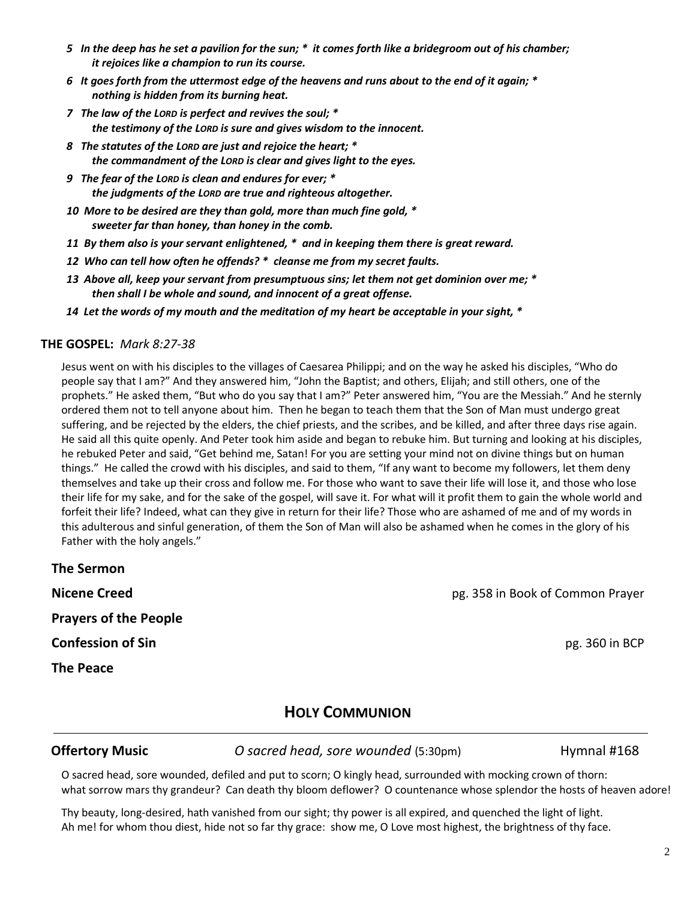- *5 In the deep has he set a pavilion for the sun; \* it comes forth like a bridegroom out of his chamber; it rejoices like a champion to run its course.*
- *6 It goes forth from the uttermost edge of the heavens and runs about to the end of it again; \* nothing is hidden from its burning heat.*
- *7 The law of the LORD is perfect and revives the soul; \* the testimony of the LORD is sure and gives wisdom to the innocent.*
- *8 The statutes of the LORD are just and rejoice the heart; \* the commandment of the LORD is clear and gives light to the eyes.*
- *9 The fear of the LORD is clean and endures for ever; \* the judgments of the LORD are true and righteous altogether.*
- *10 More to be desired are they than gold, more than much fine gold, \* sweeter far than honey, than honey in the comb.*
- *11 By them also is your servant enlightened, \* and in keeping them there is great reward.*
- *12 Who can tell how often he offends? \* cleanse me from my secret faults.*
- *13 Above all, keep your servant from presumptuous sins; let them not get dominion over me; \* then shall I be whole and sound, and innocent of a great offense.*
- *14 Let the words of my mouth and the meditation of my heart be acceptable in your sight, \**

#### **THE GOSPEL:** *Mark 8:27-38*

Jesus went on with his disciples to the villages of Caesarea Philippi; and on the way he asked his disciples, "Who do people say that I am?" And they answered him, "John the Baptist; and others, Elijah; and still others, one of the prophets." He asked them, "But who do you say that I am?" Peter answered him, "You are the Messiah." And he sternly ordered them not to tell anyone about him. Then he began to teach them that the Son of Man must undergo great suffering, and be rejected by the elders, the chief priests, and the scribes, and be killed, and after three days rise again. He said all this quite openly. And Peter took him aside and began to rebuke him. But turning and looking at his disciples, he rebuked Peter and said, "Get behind me, Satan! For you are setting your mind not on divine things but on human things." He called the crowd with his disciples, and said to them, "If any want to become my followers, let them deny themselves and take up their cross and follow me. For those who want to save their life will lose it, and those who lose their life for my sake, and for the sake of the gospel, will save it. For what will it profit them to gain the whole world and forfeit their life? Indeed, what can they give in return for their life? Those who are ashamed of me and of my words in this adulterous and sinful generation, of them the Son of Man will also be ashamed when he comes in the glory of his Father with the holy angels."

| <b>The Sermon</b>            |
|------------------------------|
| Nicene Creed                 |
| <b>Prayers of the People</b> |
| <b>Confession of Sin</b>     |
| <b>The Peace</b>             |
|                              |

### **Nicene Creed** pg. 358 in Book of Common Prayer

**Confession of Sin** pg. 360 in BCP

# **HOLY COMMUNION**

**Offertory Music** *O sacred head, sore wounded* (5:30pm) Hymnal #168

O sacred head, sore wounded, defiled and put to scorn; O kingly head, surrounded with mocking crown of thorn: what sorrow mars thy grandeur? Can death thy bloom deflower? O countenance whose splendor the hosts of heaven adore!

Thy beauty, long-desired, hath vanished from our sight; thy power is all expired, and quenched the light of light. Ah me! for whom thou diest, hide not so far thy grace: show me, O Love most highest, the brightness of thy face.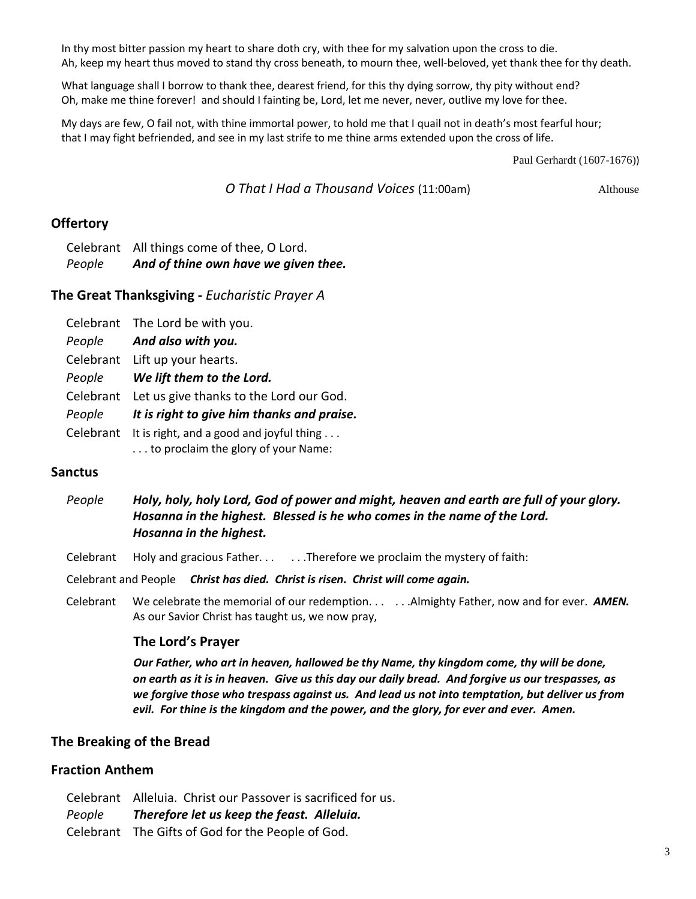In thy most bitter passion my heart to share doth cry, with thee for my salvation upon the cross to die. Ah, keep my heart thus moved to stand thy cross beneath, to mourn thee, well-beloved, yet thank thee for thy death.

What language shall I borrow to thank thee, dearest friend, for this thy dying sorrow, thy pity without end? Oh, make me thine forever! and should I fainting be, Lord, let me never, never, outlive my love for thee.

My days are few, O fail not, with thine immortal power, to hold me that I quail not in death's most fearful hour; that I may fight befriended, and see in my last strife to me thine arms extended upon the cross of life.

Paul Gerhardt (1607-1676))

*O That I Had a Thousand Voices* (11:00am) Althouse

## **Offertory**

Celebrant All things come of thee, O Lord. *People And of thine own have we given thee.*

**The Great Thanksgiving -** *Eucharistic Prayer A*

|        | Celebrant The Lord be with you.                                                           |
|--------|-------------------------------------------------------------------------------------------|
| People | And also with you.                                                                        |
|        | Celebrant Lift up your hearts.                                                            |
| People | We lift them to the Lord.                                                                 |
|        | Celebrant Let us give thanks to the Lord our God.                                         |
| People | It is right to give him thanks and praise.                                                |
|        | Celebrant It is right, and a good and joyful thing<br>to proclaim the glory of your Name: |

### **Sanctus**

*People Holy, holy, holy Lord, God of power and might, heaven and earth are full of your glory. Hosanna in the highest. Blessed is he who comes in the name of the Lord. Hosanna in the highest.*

Celebrant Holy and gracious Father. . . . . . . Therefore we proclaim the mystery of faith:

Celebrant and People *Christ has died. Christ is risen. Christ will come again.*

Celebrant We celebrate the memorial of our redemption. . . . . .Almighty Father, now and for ever. *AMEN.* As our Savior Christ has taught us, we now pray,

### **The Lord's Prayer**

*Our Father, who art in heaven, hallowed be thy Name, thy kingdom come, thy will be done, on earth as it is in heaven. Give us this day our daily bread. And forgive us our trespasses, as we forgive those who trespass against us. And lead us not into temptation, but deliver us from evil. For thine is the kingdom and the power, and the glory, for ever and ever. Amen.*

### **The Breaking of the Bread**

## **Fraction Anthem**

|        | Celebrant Alleluia. Christ our Passover is sacrificed for us. |
|--------|---------------------------------------------------------------|
| People | Therefore let us keep the feast. Alleluia.                    |
|        | Celebrant The Gifts of God for the People of God.             |